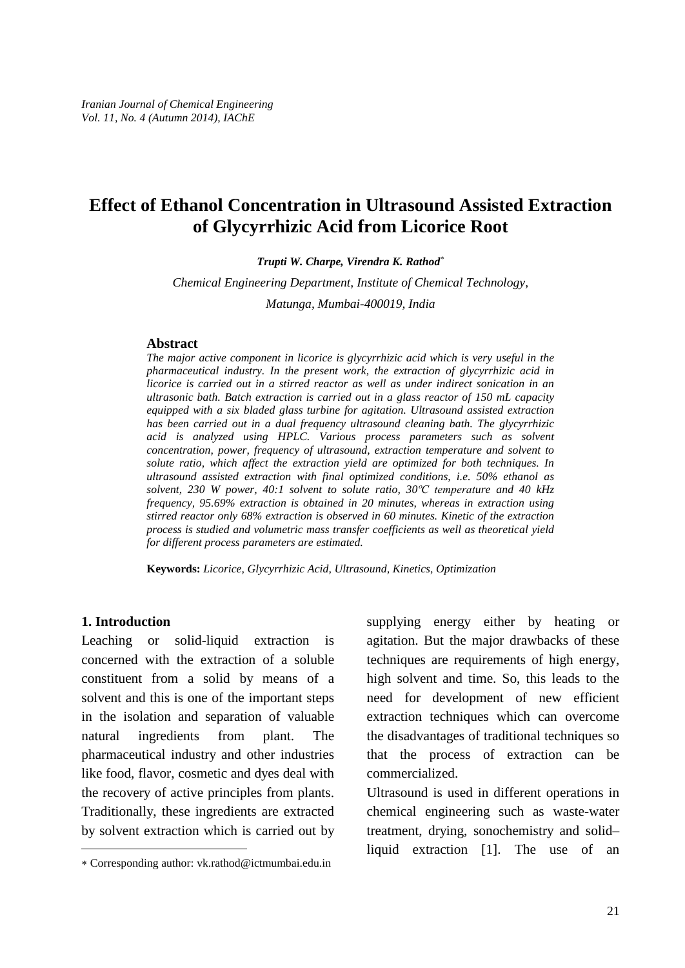# **Effect of Ethanol Concentration in Ultrasound Assisted Extraction of Glycyrrhizic Acid from Licorice Root**

*Trupti W. Charpe, Virendra K. Rathod \**

*Chemical Engineering Department, Institute of Chemical Technology, Matunga, Mumbai-400019, India*

#### **Abstract**

*The major active component in licorice is glycyrrhizic acid which is very useful in the pharmaceutical industry. In the present work, the extraction of glycyrrhizic acid in licorice is carried out in a stirred reactor as well as under indirect sonication in an ultrasonic bath. Batch extraction is carried outin a glass reactor of 150 mL capacity equipped with a six bladed glass turbine for agitation. Ultrasound assisted extraction has been carried out in a dual frequency ultrasound cleaning bath. The glycyrrhizic acid is analyzed using HPLC. Various process parameters such as solvent concentration, power, frequency of ultrasound, extraction temperature and solvent to* solute ratio, which affect the extraction yield are optimized for both techniques. In<br>ultrasound assisted extraction with final optimized conditions, i.e. 50% ethanol as<br>solvent, 230 W power, 40:1 solvent to solute ratio, *ultrasound assisted extraction with final optimized conditions, i.e. 50% ethanol as frequency, 95.69% extraction is obtained in 20 minutes, whereas in extraction using stirred reactor only 68% extraction is observed in 60 minutes. Kinetic of the extraction process is studied and volumetric mass transfer coef icients as well as theoretical yield for dif erent process parameters are estimated.*

**Keywords:** *Licorice, Glycyrrhizic Acid, Ultrasound, Kinetics, Optimization*

#### **1. Introduction**

Leaching or solid-liquid extraction is concerned with the extraction of a soluble constituent from a solid by means of a solvent and this is one of the important steps in the isolation and separation of valuable natural ingredients from plant. The pharmaceutical industry and other industries like food, flavor, cosmetic and dyes deal with the recovery of active principles from plants. Traditionally, these ingredients are extracted by solvent extraction which is carried out by trea

supplying energy either by heating or agitation. But the major drawbacks of these techniques are requirements of high energy, high solvent and time. So, this leads to the need for development of new efficient extraction techniques which can overcome the disadvantages of traditional techniques so that the process of extraction can be commercialized.

Ultrasound is used in different operations in chemical engineering such as waste-water treatment, drying, sonochemistry and solidliquid extraction [1]. The use of an

Corresponding author: [vk.rathod@ictmumbai.edu.in](mailto:vk.rathod@ictmumbai.edu.in)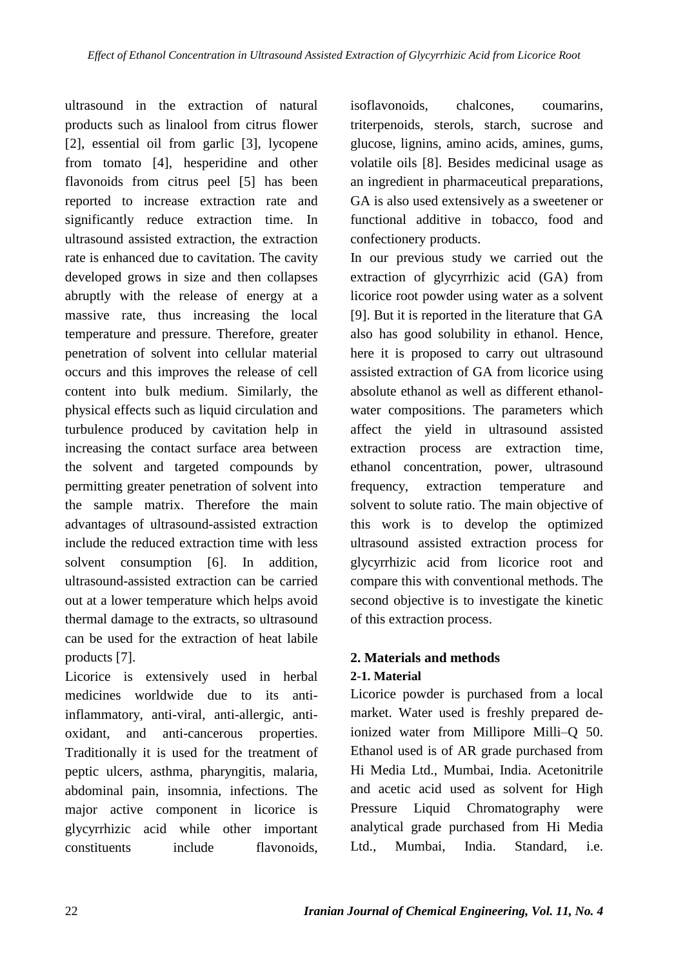ultrasound in the extraction of natural products such as linalool from citrus flower [2], essential oil from garlic [3], lycopene from tomato [4], hesperidine and other flavonoids from citrus peel [5] has been reported to increase extraction rate and significantly reduce extraction time. In ultrasound assisted extraction, the extraction rate is enhanced due to cavitation. The cavity developed grows in size and then collapses abruptly with the release of energy at a massive rate, thus increasing the local temperature and pressure. Therefore, greater penetration of solvent into cellular material occurs and this improves the release of cell content into bulk medium. Similarly, the physical effects such as liquid circulation and turbulence produced by cavitation help in increasing the contact surface area between the solvent and targeted compounds by permitting greater penetration of solvent into the sample matrix. Therefore the main advantages of ultrasound-assisted extraction include the reduced extraction time with less solvent consumption [6]. In addition, ultrasound-assisted extraction can be carried out at a lower temperature which helps avoid thermal damage to the extracts, so ultrasound can be used for the extraction of heat labile products [7].

Licorice is extensively used in herbal medicines worldwide due to its antiinflammatory, anti-viral, anti-allergic, anti oxidant, and anti-cancerous properties. Traditionally it is used for the treatment of peptic ulcers, asthma, pharyngitis, malaria, abdominal pain, insomnia, infections. The major active component in licorice is glycyrrhizic acid while other important constituents include flavonoids,

isoflavonoids, chalcones, coumarins, triterpenoids, sterols, starch, sucrose and glucose, lignins, amino acids, amines, gums, volatile oils [8]. Besides medicinal usage as an ingredient in pharmaceutical preparations, GA is also used extensively as a sweetener or functional additive in tobacco, food and confectionery products.

In our previous study we carried out the extraction of glycyrrhizic acid (GA) from licorice root powder using water as a solvent [9]. But it is reported in the literature that GA also has good solubility in ethanol. Hence, here it is proposed to carry out ultrasound assisted extraction of GA from licorice using absolute ethanol as well as different ethanol water compositions. The parameters which affect the yield in ultrasound assisted extraction process are extraction time, ethanol concentration, power, ultrasound extraction temperature and solvent to solute ratio. The main objective of this work is to develop the optimized ultrasound assisted extraction process for glycyrrhizic acid from licorice root and compare this with conventional methods. The second objective is to investigate the kinetic of this extraction process.

## **2. Materials and methods 2-1. Material**

Licorice powder is purchased from a local market. Water used is freshly prepared de-Licorice powder is purchased from a local<br>market. Water used is freshly prepared de-<br>ionized water from Millipore Milli–Q 50. Ethanol used is of AR grade purchased from Hi Media Ltd., Mumbai, India. Acetonitrile and acetic acid used as solvent for High Liquid Chromatography were analytical grade purchased from Hi Media Ltd., Mumbai, India. Standard, i.e.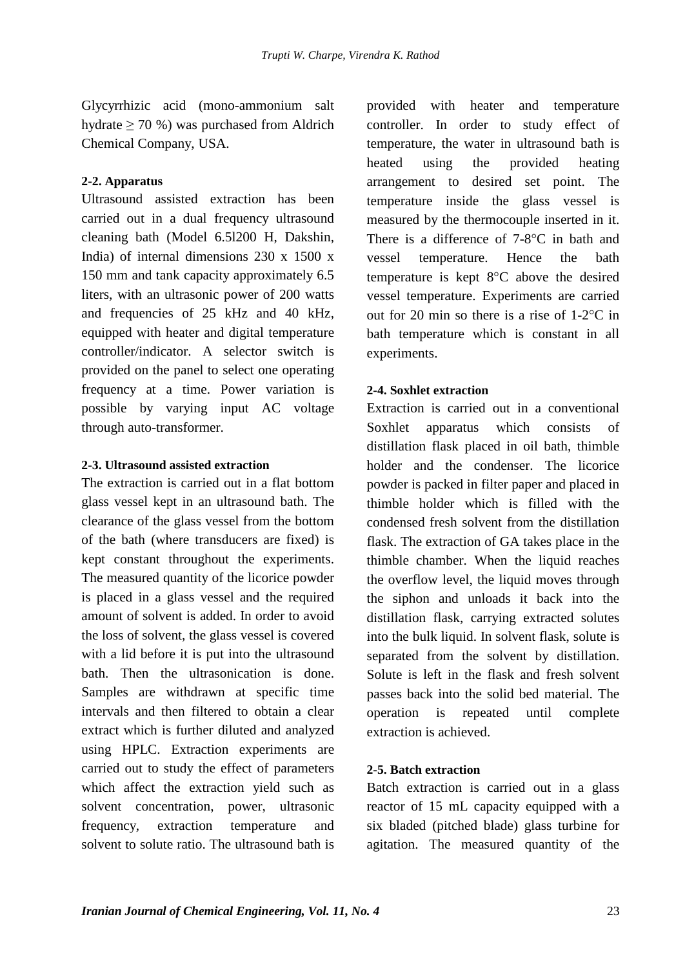Glycyrrhizic acid (mono-ammonium salt hydrate  $\geq 70$  %) was purchased from Aldrich Chemical Company, USA.

#### **2-2. Apparatus**

Ultrasound assisted extraction has been carried out in a dual frequency ultrasound cleaning bath (Model 6.5l200 H, Dakshin, India) of internal dimensions 230 x 1500 x vessel 150 mm and tank capacity approximately 6.5 liters, with an ultrasonic power of 200 watts and frequencies of 25 kHz and 40 kHz, equipped with heater and digital temperature controller/indicator. A selector switch is provided on the panel to select one operating frequency at a time. Power variation is possible by varying input AC voltage through auto-transformer.

#### **2-3. Ultrasound assisted extraction**

The extraction is carried out in a flat bottom glass vessel kept in an ultrasound bath. The clearance of the glass vessel from the bottom of the bath (where transducers are fixed) is kept constant throughout the experiments. The measured quantity of the licorice powder is placed in a glass vessel and the required amount of solvent is added. In order to avoid the loss of solvent, the glass vessel is covered with a lid before it is put into the ultrasound bath. Then the ultrasonication is done. Samples are withdrawn at specific time intervals and then filtered to obtain a clear extract which is further diluted and analyzed using HPLC. Extraction experiments are carried out to study the effect of parameters which affect the extraction yield such as solvent concentration, power, ultrasonic frequency, extraction temperature and solvent to solute ratio. The ultrasound bath is

provided with heater and temperature controller. In order to study effect of temperature, the water in ultrasound bath is heated using the provided heating arrangement to desired set point. The temperature inside the glass vessel is measured by the thermocouple inserted in it. There is <sup>a</sup> difference of 7-8°<sup>C</sup> in bath and temperature. Hence the bath temperature is kept <sup>8</sup>°<sup>C</sup> above the desired vessel temperature. Experiments are carried temperature is kept  $8^{\circ}C$  above the desired<br>vessel temperature. Experiments are carried<br>out for 20 min so there is a rise of  $1-2^{\circ}C$  in bath temperature which is constant in all experiments.

## **2-4. Soxhlet extraction**

Extraction is carried out in a conventional Soxhlet apparatus which consists of distillation flask placed in oil bath, thimble holder and the condenser. The licorice powder is packed in filter paper and placed in thimble holder which is filled with the condensed fresh solvent from the distillation flask. The extraction of GA takes place in the thimble chamber. When the liquid reaches the overflow level, the liquid moves through the siphon and unloads it back into the distillation flask, carrying extracted solutes into the bulk liquid. In solvent flask, solute is separated from the solvent by distillation. Solute is left in the flask and fresh solvent passes back into the solid bed material. The operation is repeated until complete extraction is achieved.

## **2-5. Batch extraction**

Batch extraction is carried out in a glass reactor of 15 mL capacity equipped with a six bladed (pitched blade) glass turbine for agitation. The measured quantity of the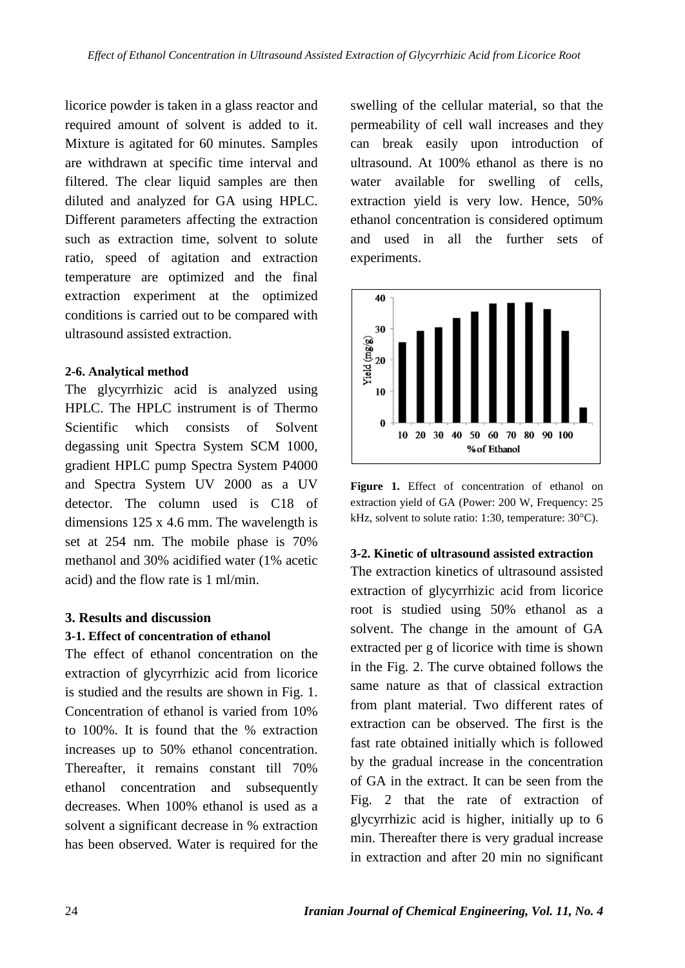licorice powder is taken in a glass reactor and required amount of solvent is added to it. Mixture is agitated for 60 minutes. Samples are withdrawn at specific time interval and filtered. The clear liquid samples are then diluted and analyzed for GA using HPLC. Different parameters affecting the extraction such as extraction time, solvent to solute ratio, speed of agitation and extraction temperature are optimized and the final extraction experiment at the optimized conditions is carried out to be compared with ultrasound assisted extraction.

## **2-6. Analytical method**

ultrasound assisted extraction.<br>
2-6. Analytical method<br>
The glycyrrhizic acid is analyzed using<br>  $\begin{bmatrix}\n\frac{\infty}{2} & \frac{\infty}{2} \\
\frac{\infty}{2} & \frac{\infty}{2} \\
\frac{\infty}{2} & \frac{\infty}{2}\n\end{bmatrix}$ HPLC. The HPLC instrument is of Thermo Scientific which consists of Solvent degassing unit Spectra System SCM 1000, gradient HPLC pump Spectra System P4000 and Spectra System UV 2000 as a UV detector. The column used is C18 of dimensions 125 x 4.6 mm. The wavelength is  $kHz$ , solvent to solute ratio: 1:30, temperature: 30°C). set at 254 nm. The mobile phase is 70% methanol and 30% acidified water (1% acetic acid) and the flow rate is 1 ml/min.

#### **3. Results and discussion**

#### **3-1. Effect of concentration of ethanol**

The effect of ethanol concentration on the extraction of glycyrrhizic acid from licorice is studied and the results are shown in Fig.1. Concentration of ethanol is varied from 10% to 100%. It is found that the % extraction increases up to 50% ethanol concentration. Thereafter, it remains constant till 70% ethanol concentration and subsequently decreases. When 100% ethanol is used as a solvent a significant decrease in % extraction swelling of the cellular material, so that the permeability of cell wall increases and they can break easily upon introduction of ultrasound. At 100% ethanol as there is no water available for swelling of cells, extraction yield is very low. Hence, 50% ethanol concentration is considered optimum and used in all the further sets of experiments.



**Figure 1.** Effect of concentration of ethanol on extraction yield of GA (Power: 200 W, Frequency: 25 **Figure 1.** Effect of concentration of ethanol on<br>extraction yield of GA (Power: 200 W, Frequency: 25<br>kHz, solvent to solute ratio: 1:30, temperature: 30°C).

#### **3-2. Kinetic of ultrasound assisted extraction**

has been observed. Water is required for the<br>in extraction and after 20 min no significant The extraction kinetics of ultrasound assisted extraction of glycyrrhizic acid from licorice root is studied using 50% ethanol as a solvent. The change in the amount of GA extracted per g of licorice with time is shown in the Fig. 2. The curve obtained follows the same nature as that of classical extraction from plant material. Two different rates of extraction can be observed. The first is the fast rate obtained initially which is followed by the gradual increase in the concentration of GA in the extract. It can be seen from the Fig. 2 that the rate of extraction of glycyrrhizic acid is higher, initially up to 6 min. Thereafter there is very gradual increase glycyrrhizic acid is higher, initially up to 6<br>min. Thereafter there is very gradual increase<br>in extraction and after 20 min no significant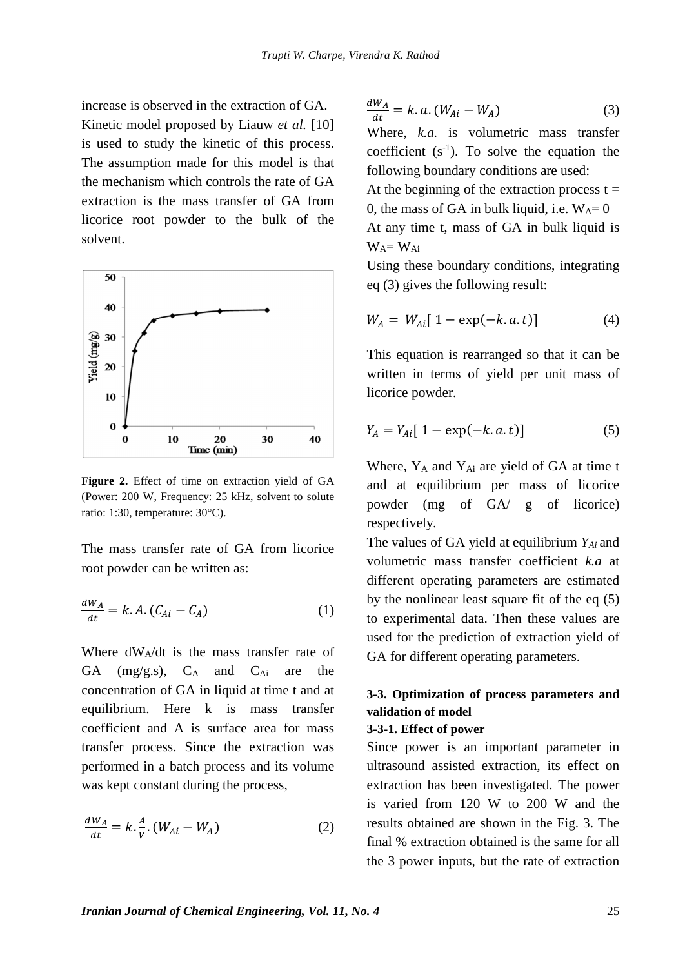$W_A = W_{Ai}$ 

increase is observed in the extraction of GA. Kinetic model proposed by Liauw *et al.* [10] is used to study the kinetic of this process. The assumption made for this model is that the mechanism which controls the rate of GA extraction is the mass transfer of GA from licorice root powder to the bulk of the solvent.



**Figure 2.** Effect of time on extraction yield of GA (Power: 200 W, Frequency: 25 kHz, solvent to solute **Figure 2.** Effect of time on extra<br>(Power: 200 W, Frequency: 25 kHz)<br>ratio: 1:30, temperature: 30°C).

The mass transfer rate of GA from licorice root powder can be written as: powder can be written as:<br>=  $k.A. (C_{Ai} - C_{A})$  (1)

$$
\frac{dW_A}{dt} = k.A. (C_{Ai} - C_A)
$$
 (1)

Where  $dW_A/dt$  is the mass transfer rate of GA  $(mg/g.s), C_A$  and  $C_{Ai}$  are the concentration of GA in liquid at time t and at equilibrium. Here k is mass transfer coefficient and A is surface area for mass transfer process. Since the extraction was performed in a batch process and its volume

was kept constant during the process,  
\n
$$
\frac{dW_A}{dt} = k \cdot \frac{A}{v} \cdot (W_{Ai} - W_A)
$$
\n(2)

$$
\frac{dW_A}{dt} = k \cdot a \cdot (W_{Ai} - W_A)
$$
 (3)

Where, *k.a.* is volumetric mass transfer coefficient  $(s^{-1})$ . To solve the equation the following boundary conditions are used: At the beginning of the extraction process  $t =$ 0, the mass of GA in bulk liquid, i.e.  $W_A = 0$ At any time t, mass of GA in bulk liquid is

Using these boundary conditions, integrating<br>
eq (3) gives the following result:<br>  $W_A = W_{Ai} [1 - \exp(-k.a.t)]$  (4) eq (3) gives the following result:

$$
W_A = W_{Ai} [1 - \exp(-k.a.t)] \tag{4}
$$

This equation is rearranged so that it can be written in terms of yield per unit mass of<br>licorice powder.<br> $Y_A = Y_{Ai} [1 - \exp(-k.a.t)]$  (5) licorice powder.

$$
Y_A = Y_{Ai} [1 - \exp(-k, a, t)] \tag{5}
$$

Where, Y<sub>A</sub> and Y<sub>Ai</sub> are yield of GA at time t and at equilibrium per mass of licorice powder (mg of GA/ g of licorice) respectively.

The values of GA yield at equilibrium *YAi* and volumetric mass transfer coefficient *k.a* at different operating parameters are estimated by the nonlinear least square fit of the eq  $(5)$ to experimental data. Then these values are used for the prediction of extraction yield of GA for different operating parameters.

## **3-3. Optimization of process parameters and validation of model**

#### **3-3-1. Effect of power**

Since power is an important parameter in ultrasound assisted extraction, its effect on extraction has been investigated. The power is varied from 120W to 200 W and the results obtained are shown in the Fig. 3. The final % extraction obtained is the same for all the 3 power inputs, but the rate of extraction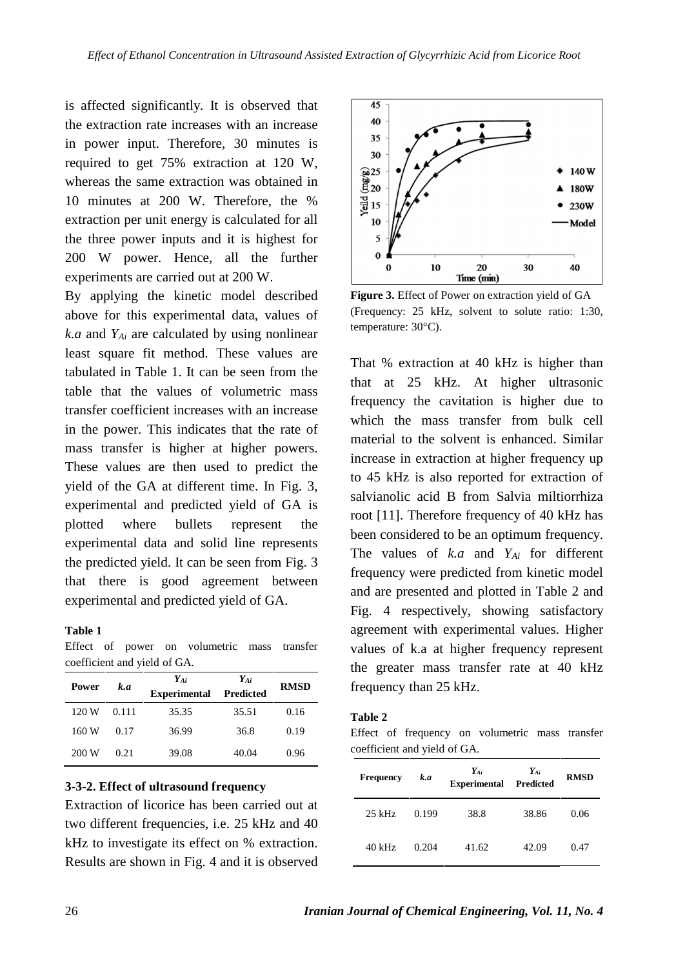is affected significantly. It is observed that the extraction rate increases with an increase in power input. Therefore, 30 minutes is required to get 75% extraction at 120 W, whereas the same extraction was obtained in  $\begin{bmatrix} \frac{\omega}{25} \\ \frac{\omega}{20} \end{bmatrix}$ 10 minutes at 200 W. Therefore, the %  $\frac{1}{2}$  15 extraction per unit energy is calculated for all the three power inputs and it is highest for 200 W power. Hence, all the further experiments are carried out at 200 W.

By applying the kinetic model described above for this experimental data, values of  $($  Frequency: 25 kH *k.a* and *YAi* are calculated by using nonlinear least square fit method. These values are tabulated in Table 1. It can be seen from the table that the values of volumetric mass transfer coefficient increases with an increase in the power. This indicates that the rate of mass transfer is higher at higher powers. These values are then used to predict the yield of the GA at different time. In Fig. 3, experimental and predicted yield of GA is plotted where bullets represent the experimental data and solid line represents the predicted yield. It can be seen from Fig. 3 that there is good agreement between experimental and predicted yield of GA.

#### **Table 1**

Effect of power on volumetric mass transfer coefficient and yield of GA.

| k.a<br>Power |       | Y <sub>Ai</sub><br><b>Experimental</b> | YAi<br>Predicted | <b>RMSD</b> |  |
|--------------|-------|----------------------------------------|------------------|-------------|--|
| 120 W        | 0.111 | 35.35                                  | 35.51            | 0.16        |  |
| 160 W        | 0.17  | 36.99                                  | 36.8             | 0.19        |  |
| 200 W        | 0.21  | 39.08                                  | 40.04            | 0.96        |  |

#### **3-3-2. Effect of ultrasound frequency**

Extraction of licorice has been carried out at two different frequencies, i.e. 25 kHz and 40 kHz to investigate its effect on % extraction. Results are shown in Fig.4 and it is observed



**Figure 3.** Effect of Power on extraction yield of GA (Frequency: 25 kHz, solvent to solute ratio: 1:30, **Figure 3.** Effect of Powe<br>(Frequency: 25 kHz, s<br>temperature: 30°C).

**RMSD** frequency than 25 kHz. That % extraction at 40 kHz is higher than that at 25 kHz. At higher ultrasonic frequency the cavitation is higher due to which the mass transfer from bulk cell material to the solvent is enhanced. Similar increase in extraction at higher frequency up to 45 kHz is also reported for extraction of salvianolic acid B from Salvia miltiorrhiza root [11]. Therefore frequency of 40 kHz has been considered to be an optimum frequency. The values of *k.a* and *YAi* for different frequency were predicted from kinetic model and are presented and plotted in Table 2 and Fig. 4 respectively, showing satisfactory agreement with experimental values. Higher values of k.a at higher frequency represent the greater mass transfer rate at 40 kHz

#### **Table 2**

Effect of frequency on volumetric mass transfer coefficient and yield of GA.

| <b>Frequency</b> | k.a   | $\begin{array}{ccc}\nY_{Ai} & & Y_{Ai}\\ \textbf{Experimental} & \textbf{Predicted}\n\end{array}$ |       | <b>RMSD</b> |
|------------------|-------|---------------------------------------------------------------------------------------------------|-------|-------------|
| $25$ kHz         | 0.199 | 38.8                                                                                              | 38.86 | 0.06        |
| $40$ kHz         | 0.204 | 41.62                                                                                             | 42.09 | 0.47        |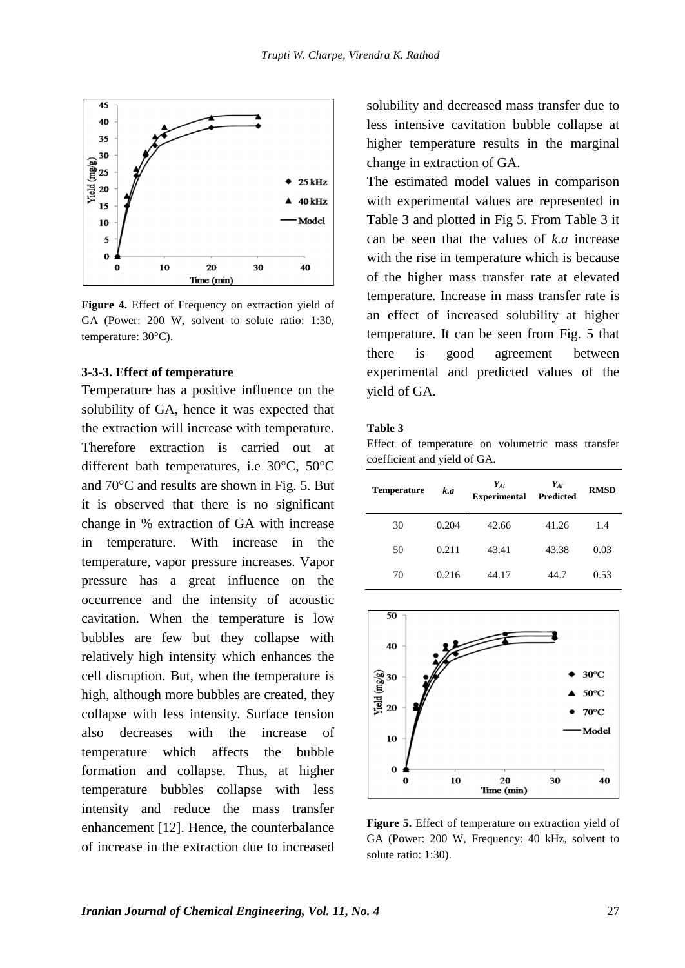

**Figure 4.** Effect of Frequency on extraction yield of GA (Power: 200 W, solvent to solute ratio: 1:30, **Figure 4.** Effect of Fre<br>GA (Power: 200 W, s<br>temperature: 30°C).

#### **3-3-3. Effect of temperature**

Temperature has a positive influence on the solubility of GA, hence it was expected that the extraction will increase with temperature. Therefore extraction is carried out at the extraction will increase with temperature. Table 3<br>Therefore extraction is carried out at Effect<br>different bath temperatures, i.e 30°C, 50°C different bath temperatures, i.e  $30^{\circ}$ C,  $50^{\circ}$ C and  $70^{\circ}$ C and results are shown in Fig. 5. But it is observed that there is no significant change in % extraction of GA with increase in temperature. With increase in the temperature, vapor pressure increases. Vapor pressure has a great influence on the occurrence and the intensity of acoustic cavitation. When the temperature is low  $\sqrt{50}$ bubbles are few but they collapse with relatively high intensity which enhances the cell disruption. But, when the temperature is  $\begin{bmatrix} \frac{\infty}{\infty} \\ \frac{\infty}{\infty} \end{bmatrix}$ high, although more bubbles are created, they<br>
sollar equilibrium surface to region collapse with less intensity. Surface tension also decreases with the increase of temperature which affects the bubble formation and collapse. Thus, at higher temperature bubbles collapse with less intensity and reduce the mass transfer enhancement [12]. Hence, the counterbalance of increase in the extraction due to increased

solubility and decreased mass transfer due to less intensive cavitation bubble collapse at higher temperature results in the marginal change in extraction of GA.

The estimated model values in comparison with experimental values are represented in Table 3 and plotted in Fig 5. From Table 3 it can be seen that the values of *k.a* increase with the rise in temperature which is because of the higher mass transfer rate at elevated temperature. Increase in mass transfer rate is an effect of increased solubility at higher temperature. It can be seen from Fig. 5 that there is good agreement between experimental and predicted values of the yield of GA.

#### **Table 3**

Effect of temperature on volumetric mass transfer coefficient and yield of GA.

| <b>Temperature</b> | k.a   | $Y_{Ai}$<br><b>Experimental Predicted</b> | $Y_{Ai}$ | <b>RMSD</b> |
|--------------------|-------|-------------------------------------------|----------|-------------|
| 30                 | 0.204 | 42.66                                     | 41.26    | 1.4         |
| 50                 | 0.211 | 43.41                                     | 43.38    | 0.03        |
| 70                 | 0.216 | 44.17                                     | 44.7     | 0.53        |



**Figure 5.** Effect of temperature on extraction yield of GA (Power: 200 W, Frequency: 40 kHz, solvent to solute ratio: 1:30).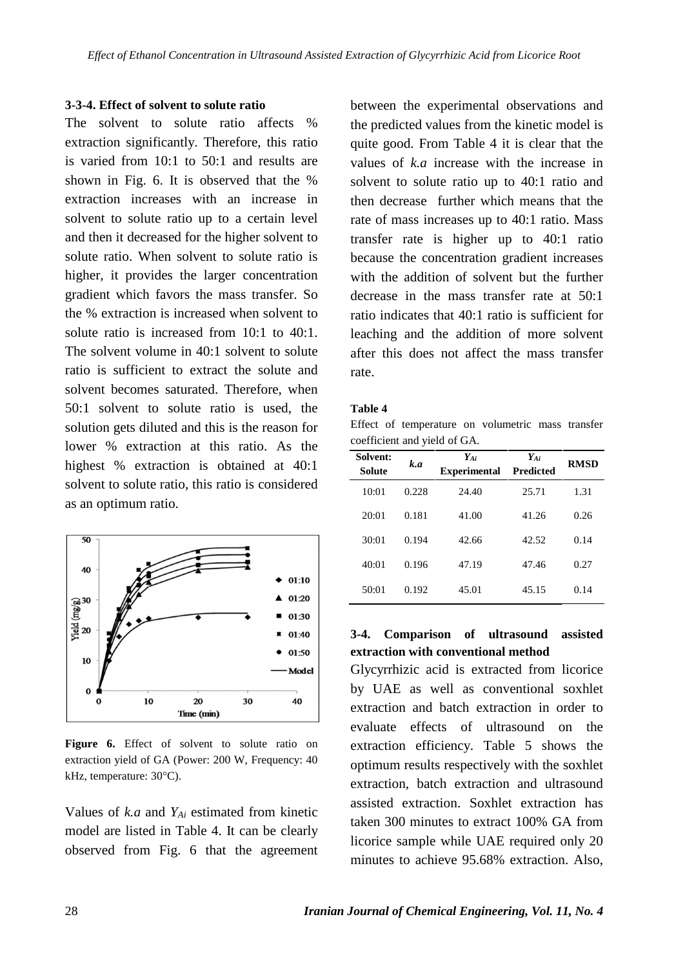#### **3-3-4. Effect of solvent to solute ratio**

The solvent to solute ratio affects % extraction significantly. Therefore, this ratio is varied from 10:1 to 50:1 and results are shown in Fig. 6. It is observed that the % extraction increases with an increase in solvent to solute ratio up to a certain level and then it decreased for the higher solvent to solute ratio. When solvent to solute ratio is higher, it provides the larger concentration gradient which favors the mass transfer. So the % extraction is increased when solvent to solute ratio is increased from 10:1 to 40:1. The solvent volume in 40:1 solvent to solute ratio is sufficient to extract the solute and solvent becomes saturated. Therefore, when 50:1 solvent to solute ratio is used, the solution gets diluted and this is the reason for lower % extraction at this ratio. As the highest % extraction is obtained at 40:1 solvent to solute ratio, this ratio is considered as an optimum ratio.



**Figure 6.** Effect of solvent to solute ratio on extraction yield of GA (Power: 200 W, Frequency: 40 **Figure 6.** Effect of solve<br>extraction yield of GA (Powe<br>kHz, temperature: 30°C).

Values of *k.a* and *YAi* estimated from kinetic model are listed in Table 4. It can be clearly observed from Fig. 6 that the agreement between the experimental observations and the predicted values from the kinetic model is quite good. From Table 4 it is clear that the values of *k.a* increase with the increase in solvent to solute ratio up to 40:1 ratio and then decrease further which means that the rate of mass increases up to 40:1 ratio. Mass transfer rate is higher up to 40:1 ratio because the concentration gradient increases with the addition of solvent but the further decrease in the mass transfer rate at 50:1 ratio indicates that 40:1 ratio is sufficient for leaching and the addition of more solvent after this does not affect the mass transfer rate.

#### **Table 4**

Effect of temperature on volumetric mass transfer coefficient and yield of GA.

| Solvent:<br><b>Solute</b> | k.a   | $Y_{Ai}$<br><b>Experimental</b> | $Y_{Ai}$<br><b>Predicted</b> | <b>RMSD</b> |
|---------------------------|-------|---------------------------------|------------------------------|-------------|
| 10:01                     | 0.228 | 24.40                           | 25.71                        | 1.31        |
| 20:01                     | 0.181 | 41.00                           | 41.26                        | 0.26        |
| 30:01                     | 0.194 | 42.66                           | 42.52                        | 0.14        |
| 40:01                     | 0.196 | 47.19                           | 47.46                        | 0.27        |
| 50:01                     | 0.192 | 45.01                           | 45.15                        | 0.14        |

## **3-4. Comparison of ultrasound assisted extraction with conventional method**

Glycyrrhizic acid is extracted from licorice by UAE as well as conventional soxhlet extraction and batch extraction in order to evaluate effects of ultrasound on the extraction efficiency. Table 5 shows the optimum results respectively with the soxhlet extraction, batch extraction and ultrasound assisted extraction. Soxhlet extraction has taken 300 minutes to extract 100% GA from licorice sample while UAE required only 20 minutes to achieve 95.68% extraction. Also,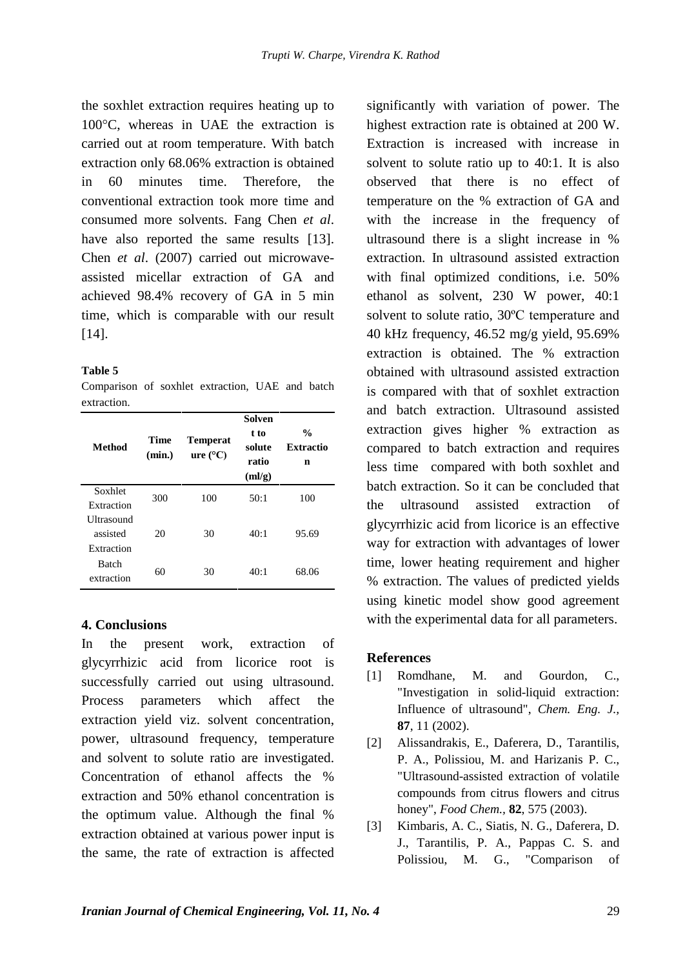the soxhlet extraction requires heating up to the soxhlet extraction requires heating up to<br>100°C, whereas in UAE the extraction is h carried out at room temperature. With batch extraction only 68.06% extraction is obtained in 60 minutes time. Therefore, the conventional extraction took more time and consumed more solvents. Fang Chen *et al*. have also reported the same results [13]. Chen *et al*. (2007) carried out microwave assisted micellar extraction of GA and achieved 98.4% recovery of GA in 5 min time, which is comparable with our result [14].

#### **Table 5**

Comparison of soxhlet extraction, UAE and batch extraction.

| <b>Method</b>                               | Time<br>(min.) | <b>Temperat</b><br>ure (°C) | <b>Solven</b><br>t to<br>solute<br>ratio<br>(ml/g) | $\frac{0}{0}$<br><b>Extractio</b><br>n |
|---------------------------------------------|----------------|-----------------------------|----------------------------------------------------|----------------------------------------|
| Soxhlet<br>Extraction                       | 300            | 100                         | 50:1                                               | 100                                    |
| <b>Ultrasound</b><br>assisted<br>Extraction | 20             | 30                          | 40:1                                               | 95.69                                  |
| <b>Batch</b><br>extraction                  | 60             | 30                          | 40:1                                               | 68.06                                  |

## **4. Conclusions**

In the present work, extraction of glycyrrhizic acid from licorice root is successfully carried out using ultrasound. Process parameters which affect the extraction yield viz. solvent concentration, power, ultrasound frequency, temperature and solvent to solute ratio are investigated. Concentration of ethanol affects the % extraction and 50% ethanol concentration is the optimum value. Although the final % extraction obtained at various power input is the same, the rate of extraction is affected

**%** extraction gives higher % extraction as significantly with variation of power. The highest extraction rate is obtained at 200 W. Extraction is increased with increase in solvent to solute ratio up to 40:1. It is also observed that there is no effect of temperature on the % extraction of GA and with the increase in the frequency of ultrasound there is a slight increase in % extraction. In ultrasound assisted extraction with final optimized conditions, i.e. 50% ethanol as solvent, 230 W power, 40:1 solvent to solute ratio, <sup>30</sup>ºC temperature and 40 kHz frequency, 46.52 mg/g yield, 95.69% extraction is obtained. The % extraction obtained with ultrasound assisted extraction is compared with that of soxhlet extraction and batch extraction. Ultrasound assisted compared to batch extraction and requires less time compared with both soxhlet and batch extraction. So it can be concluded that the ultrasound assisted extraction of glycyrrhizic acid from licorice is an effective way for extraction with advantages of lower time, lower heating requirement and higher % extraction. The values of predicted yields using kinetic model show good agreement with the experimental data for all parameters.

## **References**

- [1] Romdhane, M. and Gourdon, C., "Investigation in solid-liquid extraction: Influence of ultrasound", *Chem. Eng. J.,* **87**, 11 (2002).
- [2] Alissandrakis, E., Daferera, D., Tarantilis, P. A., Polissiou, M. and Harizanis P. C., "Ultrasound-assisted extraction of volatile compounds from citrus flowers and citrus honey", *Food Chem.,* **82**, 575 (2003).
- Kimbaris, A. C., Siatis, N. G., Daferera, D. J., Tarantilis, P. A., Pappas C. S. and Polissiou, M. G., "Comparison of